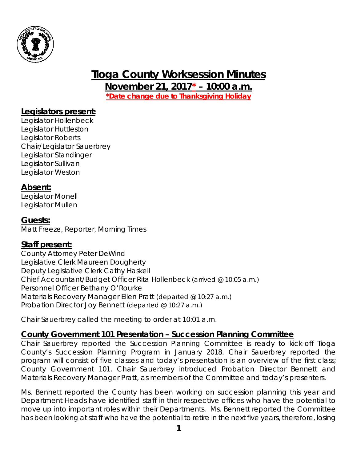

# **Tioga County Worksession Minutes**

**November 21, 2017\* – 10:00 a.m.** *\*Date change due to Thanksgiving Holiday*

## **Legislators present:**

Legislator Hollenbeck Legislator Huttleston Legislator Roberts Chair/Legislator Sauerbrey Legislator Standinger Legislator Sullivan Legislator Weston

#### **Absent:**

Legislator Monell Legislator Mullen

## **Guests:**

Matt Freeze, Reporter, Morning Times

#### **Staff present:**

County Attorney Peter DeWind Legislative Clerk Maureen Dougherty Deputy Legislative Clerk Cathy Haskell Chief Accountant/Budget Officer Rita Hollenbeck *(arrived @ 10:05 a.m.)* Personnel Officer Bethany O'Rourke Materials Recovery Manager Ellen Pratt *(departed @ 10:27 a.m.)* Probation Director Joy Bennett *(departed @ 10:27 a.m.)*

Chair Sauerbrey called the meeting to order at 10:01 a.m.

## **County Government 101 Presentation – Succession Planning Committee**

Chair Sauerbrey reported the Succession Planning Committee is ready to kick-off Tioga County's Succession Planning Program in January 2018. Chair Sauerbrey reported the program will consist of five classes and today's presentation is an overview of the first class; County Government 101. Chair Sauerbrey introduced Probation Director Bennett and Materials Recovery Manager Pratt, as members of the Committee and today's presenters.

Ms. Bennett reported the County has been working on succession planning this year and Department Heads have identified staff in their respective offices who have the potential to move up into important roles within their Departments. Ms. Bennett reported the Committee has been looking at staff who have the potential to retire in the next five years, therefore, losing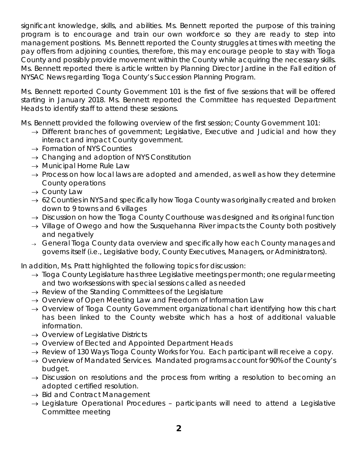significant knowledge, skills, and abilities. Ms. Bennett reported the purpose of this training program is to encourage and train our own workforce so they are ready to step into management positions. Ms. Bennett reported the County struggles at times with meeting the pay offers from adjoining counties, therefore, this may encourage people to stay with Tioga County and possibly provide movement within the County while acquiring the necessary skills. Ms. Bennett reported there is article written by Planning Director Jardine in the Fall edition of NYSAC News regarding Tioga County's Succession Planning Program.

Ms. Bennett reported County Government 101 is the first of five sessions that will be offered starting in January 2018. Ms. Bennett reported the Committee has requested Department Heads to identify staff to attend these sessions.

Ms. Bennett provided the following overview of the first session; County Government 101:

- $\rightarrow$  Different branches of government; Legislative, Executive and Judicial and how they interact and impact County government.
- $\rightarrow$  Formation of NYS Counties
- $\rightarrow$  Changing and adoption of NYS Constitution
- $\rightarrow$  Municipal Home Rule Law
- $\rightarrow$  Process on how local laws are adopted and amended, as well as how they determine County operations
- $\rightarrow$  County Law
- $\rightarrow$  62 Counties in NYS and specifically how Tioga County was originally created and broken down to 9 towns and 6 villages
- $\rightarrow$  Discussion on how the Tioga County Courthouse was designed and its original function
- $\rightarrow$  Village of Owego and how the Susquehanna River impacts the County both positively and negatively
- $\rightarrow$  General Tioga County data overview and specifically how each County manages and governs itself (i.e., Legislative body, County Executives, Managers, or Administrators).

In addition, Ms. Pratt highlighted the following topics for discussion:

- $\rightarrow$  Tioga County Legislature has three Legislative meetings per month; one regular meeting and two worksessions with special sessions called as needed
- $\rightarrow$  Review of the Standing Committees of the Legislature
- $\rightarrow$  Overview of Open Meeting Law and Freedom of Information Law
- $\rightarrow$  Overview of Tioga County Government organizational chart identifying how this chart has been linked to the County website which has a host of additional valuable information.
- $\rightarrow$  Overview of Legislative Districts
- $\rightarrow$  Overview of Elected and Appointed Department Heads
- $\rightarrow$  Review of 130 Ways Tioga County Works for You. Each participant will receive a copy.
- $\rightarrow$  Overview of Mandated Services. Mandated programs account for 90% of the County's budget.
- $\rightarrow$  Discussion on resolutions and the process from writing a resolution to becoming an adopted certified resolution.
- $\rightarrow$  Bid and Contract Management
- $\rightarrow$  Legislature Operational Procedures participants will need to attend a Legislative Committee meeting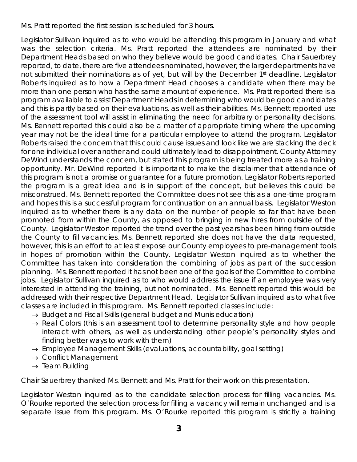Ms. Pratt reported the first session is scheduled for 3 hours.

Legislator Sullivan inquired as to who would be attending this program in January and what was the selection criteria. Ms. Pratt reported the attendees are nominated by their Department Heads based on who they believe would be good candidates. Chair Sauerbrey reported, to date, there are five attendees nominated, however, the larger departments have not submitted their nominations as of yet, but will by the December 1<sup>st</sup> deadline. Legislator Roberts inquired as to how a Department Head chooses a candidate when there may be more than one person who has the same amount of experience. Ms. Pratt reported there is a program available to assist Department Heads in determining who would be good candidates and this is partly based on their evaluations, as well as their abilities. Ms. Bennett reported use of the assessment tool will assist in eliminating the need for arbitrary or personality decisions. Ms. Bennett reported this could also be a matter of appropriate timing where the upcoming year may not be the ideal time for a particular employee to attend the program. Legislator Roberts raised the concern that this could cause issues and look like we are stacking the deck for one individual over another and could ultimately lead to disappointment. County Attorney DeWind understands the concern, but stated this program is being treated more as a training opportunity. Mr. DeWind reported it is important to make the disclaimer that attendance of this program is not a promise or guarantee for a future promotion. Legislator Roberts reported the program is a great idea and is in support of the concept, but believes this could be misconstrued. Ms. Bennett reported the Committee does not see this as a one-time program and hopes this is a successful program for continuation on an annual basis. Legislator Weston inquired as to whether there is any data on the number of people so far that have been promoted from within the County, as opposed to bringing in new hires from outside of the County. Legislator Weston reported the trend over the past years has been hiring from outside the County to fill vacancies. Ms. Bennett reported she does not have the data requested, however, this is an effort to at least expose our County employees to pre-management tools in hopes of promotion within the County. Legislator Weston inquired as to whether the Committee has taken into consideration the combining of jobs as part of the succession planning. Ms. Bennett reported it has not been one of the goals of the Committee to combine jobs. Legislator Sullivan inquired as to who would address the issue if an employee was very interested in attending the training, but not nominated. Ms. Bennett reported this would be addressed with their respective Department Head. Legislator Sullivan inquired as to what five classes are included in this program. Ms. Bennett reported classes include:

- $\rightarrow$  Budget and Fiscal Skills (general budget and Munis education)
- $\rightarrow$  Real Colors (this is an assessment tool to determine personality style and how people interact with others, as well as understanding other people's personality styles and finding better ways to work with them)
- $\rightarrow$  Employee Management Skills (evaluations, accountability, goal setting)
- $\rightarrow$  Conflict Management
- $\rightarrow$  Team Building

Chair Sauerbrey thanked Ms. Bennett and Ms. Pratt for their work on this presentation.

Legislator Weston inquired as to the candidate selection process for filling vacancies. Ms. O'Rourke reported the selection process for filling a vacancy will remain unchanged and is a separate issue from this program. Ms. O'Rourke reported this program is strictly a training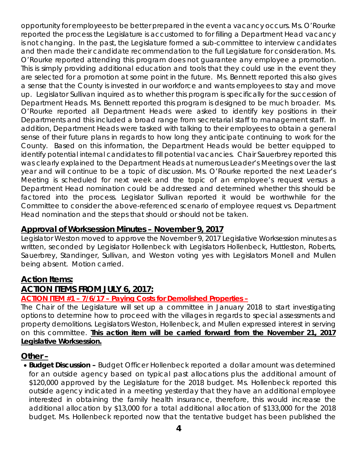opportunity for employees to be better prepared in the event a vacancy occurs. Ms. O'Rourke reported the process the Legislature is accustomed to for filling a Department Head vacancy is not changing. In the past, the Legislature formed a sub-committee to interview candidates and then made their candidate recommendation to the full Legislature for consideration. Ms. O'Rourke reported attending this program does not guarantee any employee a promotion. This is simply providing additional education and tools that they could use in the event they are selected for a promotion at some point in the future. Ms. Bennett reported this also gives a sense that the County is invested in our workforce and wants employees to stay and move up. Legislator Sullivan inquired as to whether this program is specifically for the succession of Department Heads. Ms. Bennett reported this program is designed to be much broader. Ms. O'Rourke reported all Department Heads were asked to identify key positions in their Departments and this included a broad range from secretarial staff to management staff. In addition, Department Heads were tasked with talking to their employees to obtain a general sense of their future plans in regards to how long they anticipate continuing to work for the County. Based on this information, the Department Heads would be better equipped to identify potential internal candidates to fill potential vacancies. Chair Sauerbrey reported this was clearly explained to the Department Heads at numerous Leader's Meetings over the last year and will continue to be a topic of discussion. Ms. O'Rourke reported the next Leader's Meeting is scheduled for next week and the topic of an employee's request versus a Department Head nomination could be addressed and determined whether this should be factored into the process. Legislator Sullivan reported it would be worthwhile for the Committee to consider the above-referenced scenario of employee request vs. Department Head nomination and the steps that should or should not be taken.

#### **Approval of Worksession Minutes – November 9, 2017**

Legislator Weston moved to approve the November 9, 2017 Legislative Worksession minutes as written, seconded by Legislator Hollenbeck with Legislators Hollenbeck, Huttleston, Roberts, Sauerbrey, Standinger, Sullivan, and Weston voting yes with Legislators Monell and Mullen being absent. Motion carried.

#### **Action Items:**

#### **ACTION ITEMS FROM JULY 6, 2017:**

#### **ACTION ITEM #1 – 7/6/17 – Paying Costs for Demolished Properties –**

The Chair of the Legislature will set up a committee in January 2018 to start investigating options to determine how to proceed with the villages in regards to special assessments and property demolitions. Legislators Weston, Hollenbeck, and Mullen expressed interest in serving on this committee. **This action item will be carried forward from the November 21, 2017 Legislative Worksession.**

#### **Other –**

• *Budget Discussion* **–** Budget Officer Hollenbeck reported a dollar amount was determined for an outside agency based on typical past allocations plus the additional amount of \$120,000 approved by the Legislature for the 2018 budget. Ms. Hollenbeck reported this outside agency indicated in a meeting yesterday that they have an additional employee interested in obtaining the family health insurance, therefore, this would increase the additional allocation by \$13,000 for a total additional allocation of \$133,000 for the 2018 budget. Ms. Hollenbeck reported now that the tentative budget has been published the